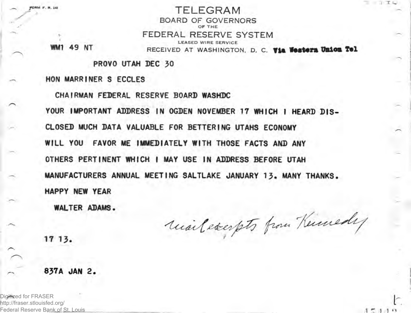FORM F. R. 248 TELEGRAM BOARD OF GOVERNORS OF THE FEDERAL RESERVE SYSTEM LEASED WIRE SERVICE WM1 49 NT RECEIVED AT WASHINGTON, D. C. Via Western Union Tel TT C

 $15110$ 

PROVO UTAH DEC 30

HON MARRINER S ECCLES

CHAIRMAN FEDERAL RESERVE BOARD WASHDC YOUR IMPORTANT ADDRESS IN OGDEN NOVEMBER 17 WHICH I HEARD DIS-CLOSED MUCH DATA VALUABLE FOR BETTERING UTAHS ECONOMY WILL YOU FAVOR ME IMMEDIATELY WITH THOSE FACTS AND ANY OTHERS PERTINENT WHICH I MAY USE IN ADDRESS BEFORE UTAH MANUFACTURERS ANNUAL MEETING SALTLAKE JANUARY 13. MANY THANKS. HAPPY NEW YEAR

WALTER ADAMS.

unileccepts from Kinnedy

17 13.

## 837A JAN 2.

Digitized for FRASER http://fraser.stlouisfed.org/ Federal Reserve Bank of St. Louis